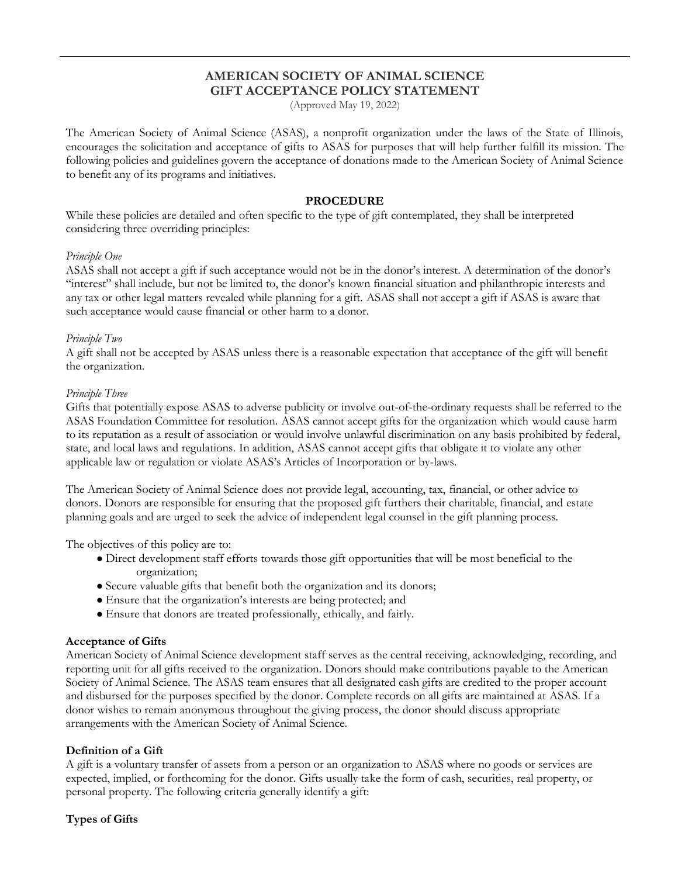# **AMERICAN SOCIETY OF ANIMAL SCIENCE GIFT ACCEPTANCE POLICY STATEMENT**

(Approved May 19, 2022)

The American Society of Animal Science (ASAS), a nonprofit organization under the laws of the State of Illinois, encourages the solicitation and acceptance of gifts to ASAS for purposes that will help further fulfill its mission. The following policies and guidelines govern the acceptance of donations made to the American Society of Animal Science to benefit any of its programs and initiatives.

### **PROCEDURE**

While these policies are detailed and often specific to the type of gift contemplated, they shall be interpreted considering three overriding principles:

### *Principle One*

ASAS shall not accept a gift if such acceptance would not be in the donor's interest. A determination of the donor's "interest" shall include, but not be limited to, the donor's known financial situation and philanthropic interests and any tax or other legal matters revealed while planning for a gift. ASAS shall not accept a gift if ASAS is aware that such acceptance would cause financial or other harm to a donor.

#### *Principle Two*

A gift shall not be accepted by ASAS unless there is a reasonable expectation that acceptance of the gift will benefit the organization.

#### *Principle Three*

Gifts that potentially expose ASAS to adverse publicity or involve out-of-the-ordinary requests shall be referred to the ASAS Foundation Committee for resolution. ASAS cannot accept gifts for the organization which would cause harm to its reputation as a result of association or would involve unlawful discrimination on any basis prohibited by federal, state, and local laws and regulations. In addition, ASAS cannot accept gifts that obligate it to violate any other applicable law or regulation or violate ASAS's Articles of Incorporation or by-laws.

The American Society of Animal Science does not provide legal, accounting, tax, financial, or other advice to donors. Donors are responsible for ensuring that the proposed gift furthers their charitable, financial, and estate planning goals and are urged to seek the advice of independent legal counsel in the gift planning process.

The objectives of this policy are to:

- Direct development staff efforts towards those gift opportunities that will be most beneficial to the organization;
- Secure valuable gifts that benefit both the organization and its donors;
- Ensure that the organization's interests are being protected; and
- Ensure that donors are treated professionally, ethically, and fairly.

### **Acceptance of Gifts**

American Society of Animal Science development staff serves as the central receiving, acknowledging, recording, and reporting unit for all gifts received to the organization. Donors should make contributions payable to the American Society of Animal Science. The ASAS team ensures that all designated cash gifts are credited to the proper account and disbursed for the purposes specified by the donor. Complete records on all gifts are maintained at ASAS. If a donor wishes to remain anonymous throughout the giving process, the donor should discuss appropriate arrangements with the American Society of Animal Science.

### **Definition of a Gift**

A gift is a voluntary transfer of assets from a person or an organization to ASAS where no goods or services are expected, implied, or forthcoming for the donor. Gifts usually take the form of cash, securities, real property, or personal property. The following criteria generally identify a gift:

## **Types of Gifts**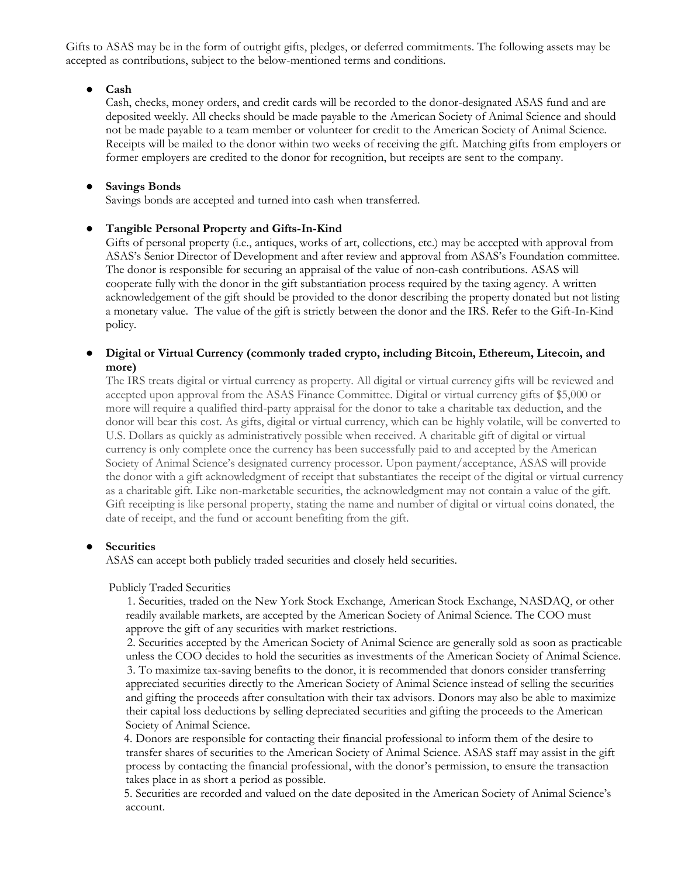Gifts to ASAS may be in the form of outright gifts, pledges, or deferred commitments. The following assets may be accepted as contributions, subject to the below-mentioned terms and conditions.

### ● **Cash**

Cash, checks, money orders, and credit cards will be recorded to the donor-designated ASAS fund and are deposited weekly. All checks should be made payable to the American Society of Animal Science and should not be made payable to a team member or volunteer for credit to the American Society of Animal Science. Receipts will be mailed to the donor within two weeks of receiving the gift. Matching gifts from employers or former employers are credited to the donor for recognition, but receipts are sent to the company.

### ● **Savings Bonds**

Savings bonds are accepted and turned into cash when transferred.

## ● **Tangible Personal Property and Gifts-In-Kind**

Gifts of personal property (i.e., antiques, works of art, collections, etc.) may be accepted with approval from ASAS's Senior Director of Development and after review and approval from ASAS's Foundation committee. The donor is responsible for securing an appraisal of the value of non-cash contributions. ASAS will cooperate fully with the donor in the gift substantiation process required by the taxing agency. A written acknowledgement of the gift should be provided to the donor describing the property donated but not listing a monetary value. The value of the gift is strictly between the donor and the IRS. Refer to the Gift-In-Kind policy.

## ● **Digital or Virtual Currency (commonly traded crypto, including Bitcoin, Ethereum, Litecoin, and more)**

The IRS treats digital or virtual currency as property. All digital or virtual currency gifts will be reviewed and accepted upon approval from the ASAS Finance Committee. Digital or virtual currency gifts of \$5,000 or more will require a qualified third-party appraisal for the donor to take a charitable tax deduction, and the donor will bear this cost. As gifts, digital or virtual currency, which can be highly volatile, will be converted to U.S. Dollars as quickly as administratively possible when received. A charitable gift of digital or virtual currency is only complete once the currency has been successfully paid to and accepted by the American Society of Animal Science's designated currency processor. Upon payment/acceptance, ASAS will provide the donor with a gift acknowledgment of receipt that substantiates the receipt of the digital or virtual currency as a charitable gift. Like non-marketable securities, the acknowledgment may not contain a value of the gift. Gift receipting is like personal property, stating the name and number of digital or virtual coins donated, the date of receipt, and the fund or account benefiting from the gift.

## **Securities**

ASAS can accept both publicly traded securities and closely held securities.

### Publicly Traded Securities

 1. Securities, traded on the New York Stock Exchange, American Stock Exchange, NASDAQ, or other readily available markets, are accepted by the American Society of Animal Science. The COO must approve the gift of any securities with market restrictions.

 2. Securities accepted by the American Society of Animal Science are generally sold as soon as practicable unless the COO decides to hold the securities as investments of the American Society of Animal Science. 3. To maximize tax-saving benefits to the donor, it is recommended that donors consider transferring appreciated securities directly to the American Society of Animal Science instead of selling the securities and gifting the proceeds after consultation with their tax advisors. Donors may also be able to maximize their capital loss deductions by selling depreciated securities and gifting the proceeds to the American Society of Animal Science.

 4. Donors are responsible for contacting their financial professional to inform them of the desire to transfer shares of securities to the American Society of Animal Science. ASAS staff may assist in the gift process by contacting the financial professional, with the donor's permission, to ensure the transaction takes place in as short a period as possible.

 5. Securities are recorded and valued on the date deposited in the American Society of Animal Science's account.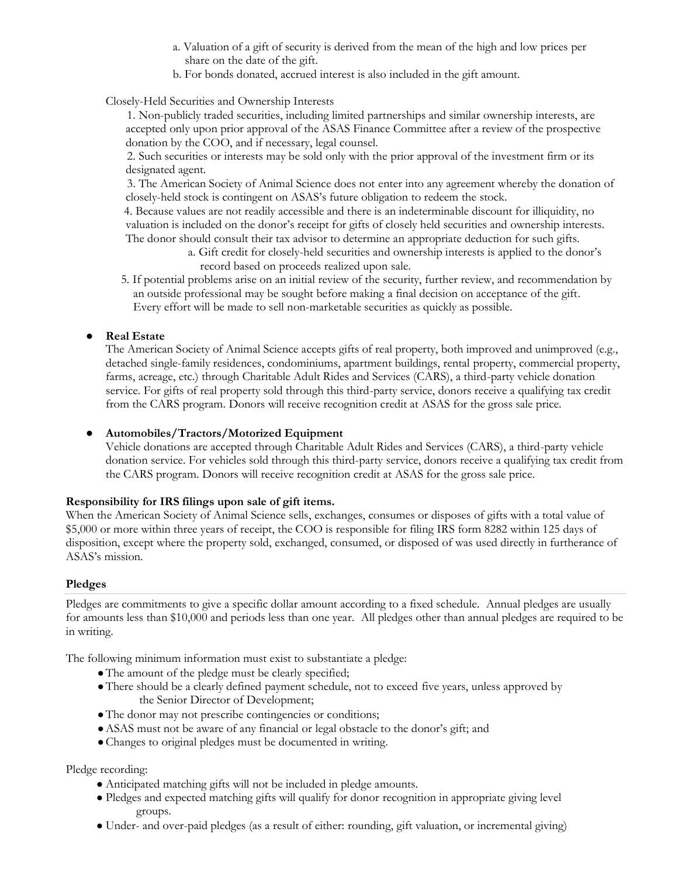- a. Valuation of a gift of security is derived from the mean of the high and low prices per share on the date of the gift.
- b. For bonds donated, accrued interest is also included in the gift amount.

Closely-Held Securities and Ownership Interests

 1. Non-publicly traded securities, including limited partnerships and similar ownership interests, are accepted only upon prior approval of the ASAS Finance Committee after a review of the prospective donation by the COO, and if necessary, legal counsel.

 2. Such securities or interests may be sold only with the prior approval of the investment firm or its designated agent.

 3. The American Society of Animal Science does not enter into any agreement whereby the donation of closely-held stock is contingent on ASAS's future obligation to redeem the stock.

 4. Because values are not readily accessible and there is an indeterminable discount for illiquidity, no valuation is included on the donor's receipt for gifts of closely held securities and ownership interests. The donor should consult their tax advisor to determine an appropriate deduction for such gifts.

> a. Gift credit for closely-held securities and ownership interests is applied to the donor's record based on proceeds realized upon sale.

 5. If potential problems arise on an initial review of the security, further review, and recommendation by an outside professional may be sought before making a final decision on acceptance of the gift. Every effort will be made to sell non-marketable securities as quickly as possible.

# ● **Real Estate**

The American Society of Animal Science accepts gifts of real property, both improved and unimproved (e.g., detached single-family residences, condominiums, apartment buildings, rental property, commercial property, farms, acreage, etc.) through Charitable Adult Rides and Services (CARS), a third-party vehicle donation service. For gifts of real property sold through this third-party service, donors receive a qualifying tax credit from the CARS program. Donors will receive recognition credit at ASAS for the gross sale price.

# ● **Automobiles/Tractors/Motorized Equipment**

Vehicle donations are accepted through Charitable Adult Rides and Services (CARS), a third-party vehicle donation service. For vehicles sold through this third-party service, donors receive a qualifying tax credit from the CARS program. Donors will receive recognition credit at ASAS for the gross sale price.

## **Responsibility for IRS filings upon sale of gift items.**

When the American Society of Animal Science sells, exchanges, consumes or disposes of gifts with a total value of \$5,000 or more within three years of receipt, the COO is responsible for filing IRS form 8282 within 125 days of disposition, except where the property sold, exchanged, consumed, or disposed of was used directly in furtherance of ASAS's mission.

## **Pledges**

Pledges are commitments to give a specific dollar amount according to a fixed schedule. Annual pledges are usually for amounts less than \$10,000 and periods less than one year. All pledges other than annual pledges are required to be in writing.

The following minimum information must exist to substantiate a pledge:

- ●The amount of the pledge must be clearly specified;
- There should be a clearly defined payment schedule, not to exceed five years, unless approved by the Senior Director of Development;
- ●The donor may not prescribe contingencies or conditions;
- ●ASAS must not be aware of any financial or legal obstacle to the donor's gift; and
- ●Changes to original pledges must be documented in writing.

## Pledge recording:

- Anticipated matching gifts will not be included in pledge amounts.
- Pledges and expected matching gifts will qualify for donor recognition in appropriate giving level groups.
- Under- and over-paid pledges (as a result of either: rounding, gift valuation, or incremental giving)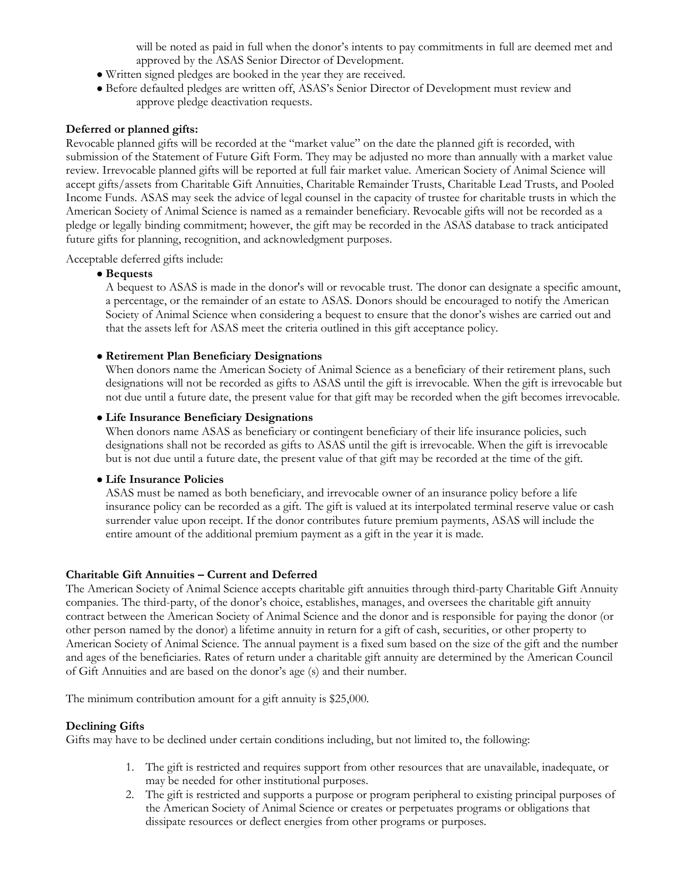will be noted as paid in full when the donor's intents to pay commitments in full are deemed met and approved by the ASAS Senior Director of Development.

- Written signed pledges are booked in the year they are received.
- Before defaulted pledges are written off, ASAS's Senior Director of Development must review and approve pledge deactivation requests.

### **Deferred or planned gifts:**

Revocable planned gifts will be recorded at the "market value" on the date the planned gift is recorded, with submission of the Statement of Future Gift Form. They may be adjusted no more than annually with a market value review. Irrevocable planned gifts will be reported at full fair market value. American Society of Animal Science will accept gifts/assets from Charitable Gift Annuities, Charitable Remainder Trusts, Charitable Lead Trusts, and Pooled Income Funds. ASAS may seek the advice of legal counsel in the capacity of trustee for charitable trusts in which the American Society of Animal Science is named as a remainder beneficiary. Revocable gifts will not be recorded as a pledge or legally binding commitment; however, the gift may be recorded in the ASAS database to track anticipated future gifts for planning, recognition, and acknowledgment purposes.

Acceptable deferred gifts include:

### ● **Bequests**

A bequest to ASAS is made in the donor's will or revocable trust. The donor can designate a specific amount, a percentage, or the remainder of an estate to ASAS. Donors should be encouraged to notify the American Society of Animal Science when considering a bequest to ensure that the donor's wishes are carried out and that the assets left for ASAS meet the criteria outlined in this gift acceptance policy.

### ● **Retirement Plan Beneficiary Designations**

When donors name the American Society of Animal Science as a beneficiary of their retirement plans, such designations will not be recorded as gifts to ASAS until the gift is irrevocable. When the gift is irrevocable but not due until a future date, the present value for that gift may be recorded when the gift becomes irrevocable.

### ● **Life Insurance Beneficiary Designations**

When donors name ASAS as beneficiary or contingent beneficiary of their life insurance policies, such designations shall not be recorded as gifts to ASAS until the gift is irrevocable. When the gift is irrevocable but is not due until a future date, the present value of that gift may be recorded at the time of the gift.

### ● **Life Insurance Policies**

ASAS must be named as both beneficiary, and irrevocable owner of an insurance policy before a life insurance policy can be recorded as a gift. The gift is valued at its interpolated terminal reserve value or cash surrender value upon receipt. If the donor contributes future premium payments, ASAS will include the entire amount of the additional premium payment as a gift in the year it is made.

### **Charitable Gift Annuities – Current and Deferred**

The American Society of Animal Science accepts charitable gift annuities through third-party Charitable Gift Annuity companies. The third-party, of the donor's choice, establishes, manages, and oversees the charitable gift annuity contract between the American Society of Animal Science and the donor and is responsible for paying the donor (or other person named by the donor) a lifetime annuity in return for a gift of cash, securities, or other property to American Society of Animal Science. The annual payment is a fixed sum based on the size of the gift and the number and ages of the beneficiaries. Rates of return under a charitable gift annuity are determined by the American Council of Gift Annuities and are based on the donor's age (s) and their number.

The minimum contribution amount for a gift annuity is \$25,000.

## **Declining Gifts**

Gifts may have to be declined under certain conditions including, but not limited to, the following:

- 1. The gift is restricted and requires support from other resources that are unavailable, inadequate, or may be needed for other institutional purposes.
- 2. The gift is restricted and supports a purpose or program peripheral to existing principal purposes of the American Society of Animal Science or creates or perpetuates programs or obligations that dissipate resources or deflect energies from other programs or purposes.